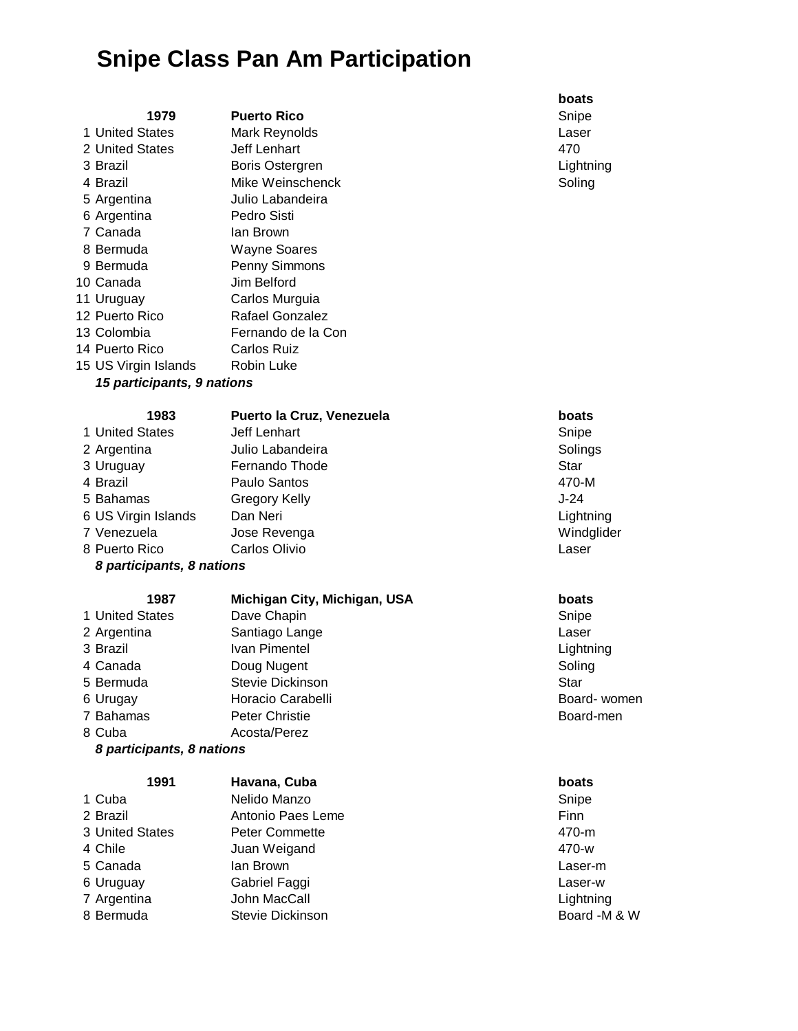# **Snipe Class Pan Am Participation**

| 1979                                     | Puc  |  |
|------------------------------------------|------|--|
| 1 United States                          | Maı  |  |
| 2 United States                          | Jeff |  |
| 3 Brazil                                 | Bor  |  |
| 4 Brazil                                 | Mik  |  |
| 5 Argentina                              | Juli |  |
| 6 Argentina                              | Рес  |  |
| 7 Canada                                 | lan  |  |
| 8 Bermuda                                | Wa   |  |
| 9 Bermuda                                | Per  |  |
| 10 Canada                                | Jim  |  |
| 11 Uruguay                               | Car  |  |
| 12 Puerto Rico                           | Raf  |  |
| 13 Colombia                              | Fer  |  |
| 14 Puerto Rico                           | Car  |  |
| 15 US Virgin Islands                     | Roł  |  |
| <i><b>15 participants. 9 nations</b></i> |      |  |

e Weinschenck and Soling Soling io Labandeira dro Sisti **Brown** yne Soares nny Simmons **Belford** rlos Murguia fael Gonzalez nando de la Con rlos Ruiz bin Luke

### *15 participants, 9 nations*

| 1983                      | Puerto la Cruz, Venezuela | boats    |
|---------------------------|---------------------------|----------|
| 1 United States           | Jeff Lenhart              | Snipe    |
| 2 Argentina               | Julio Labandeira          | Solings  |
| 3 Uruguay                 | Fernando Thode            | Star     |
| 4 Brazil                  | Paulo Santos              | 470-M    |
| 5 Bahamas                 | Gregory Kelly             | $J-24$   |
| 6 US Virgin Islands       | Dan Neri                  | Lightnir |
| 7 Venezuela               | Jose Revenga              | Windgli  |
| 8 Puerto Rico             | Carlos Olivio             | Laser    |
| 8 participants, 8 nations |                           |          |

# **1987 Michigan City, Michigan, USA boats**

1 United States Dave Chapin **Dave Chapin** Snipe 7 Bahamas **Peter Christie Board-men** Board-men 8 Cuba Acosta/Perez

2 Argentina **Santiago Lange Laser** Laser 3 Brazil **IVan Pimentel Communist Communist Communist Communist Communist Communist Communist Communist Communist Communist Communist Communist Communist Communist Communist Communist Communist Communist Communist Commun** 4 Canada **Doug Nugent** Doug Nugent Soling 5 Bermuda Stevie Dickinson Star 6 Urugay **Horacio Carabelli** Board- Women **Board- women** 

## *8 participants, 8 nations*

## **1991 Havana, Cuba boats**

| 1 Cuba          | Nelido Manzo          | Snipe        |
|-----------------|-----------------------|--------------|
| 2 Brazil        | Antonio Paes Leme     | <b>Finn</b>  |
| 3 United States | <b>Peter Commette</b> | 470-m        |
| 4 Chile         | Juan Weigand          | 470-w        |
| 5 Canada        | lan Brown             | Laser-m      |
| 6 Uruguay       | Gabriel Faggi         | Laser-w      |
| 7 Argentina     | John MacCall          | Lightning    |
| 8 Bermuda       | Stevie Dickinson      | Board -M & W |
|                 |                       |              |

### **boats**

**1979 Puerto Rico** Snipe **1 United States Mark Reynolds** Laser 2 United States Jeff Lenhart 470 **3 Brazil Boris Ostergren Lightning** Lightning

# **1983 Puerto la Cruz, Venezuela boats**

**Lightning** 1 August 2016 venezuela Jose Revenuela Jose Revenuela Jose Revenuela Jose Revenuela Jose Revenuela Jose Revenu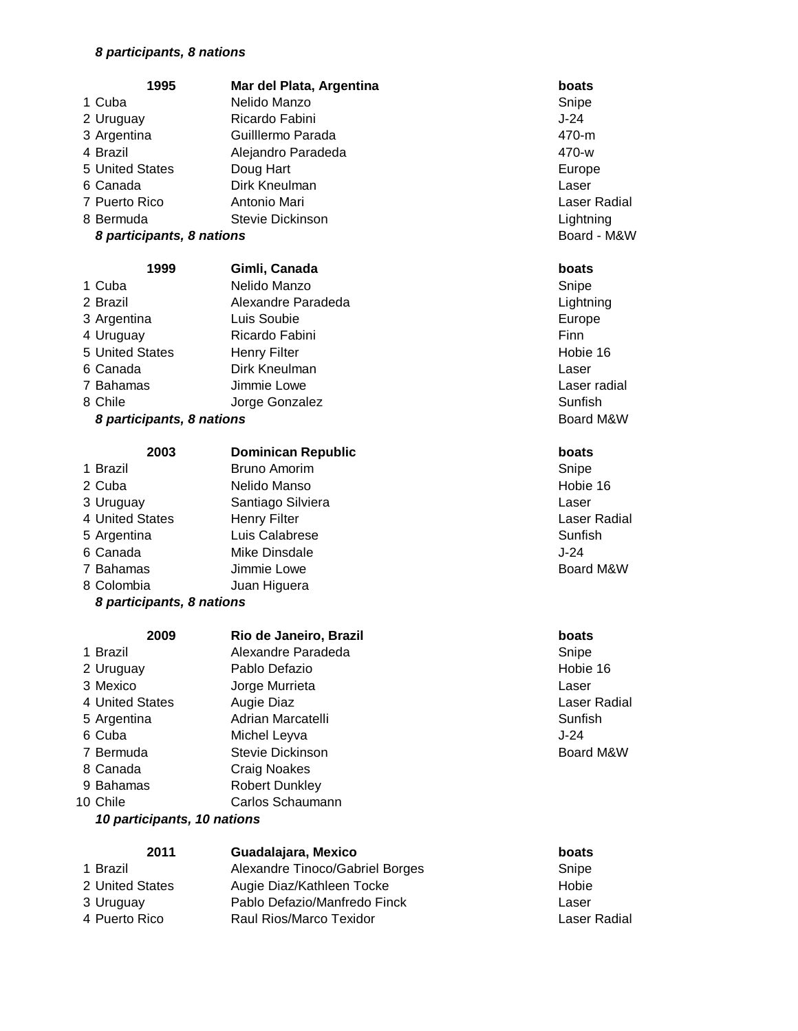### *8 participants, 8 nations*

| 1995                      | Mar del Plata, Argentina  | boats               |
|---------------------------|---------------------------|---------------------|
| 1 Cuba                    | Nelido Manzo              | Snipe               |
| 2 Uruguay                 | Ricardo Fabini            | $J-24$              |
| 3 Argentina               | Guilllermo Parada         | 470-m               |
| 4 Brazil                  | Alejandro Paradeda        | 470-w               |
| 5 United States           | Doug Hart                 | Europe              |
| 6 Canada                  | Dirk Kneulman             | Laser               |
| 7 Puerto Rico             | Antonio Mari              | Laser Radial        |
| 8 Bermuda                 | Stevie Dickinson          | Lightning           |
| 8 participants, 8 nations |                           | Board - M&W         |
| 1999                      | Gimli, Canada             | boats               |
| 1 Cuba                    | Nelido Manzo              | Snipe               |
| 2 Brazil                  | Alexandre Paradeda        | Lightning           |
| 3 Argentina               | Luis Soubie               | Europe              |
| 4 Uruguay                 | Ricardo Fabini            | Finn                |
| 5 United States           | <b>Henry Filter</b>       | Hobie 16            |
| 6 Canada                  | Dirk Kneulman             | Laser               |
| 7 Bahamas                 | Jimmie Lowe               | Laser radial        |
| 8 Chile                   | Jorge Gonzalez            | Sunfish             |
| 8 participants, 8 nations |                           | Board M&W           |
| 2003                      | <b>Dominican Republic</b> | boats               |
| 1 Brazil                  | <b>Bruno Amorim</b>       | Snipe               |
| 2 Cuba                    | Nelido Manso              | Hobie 16            |
| 3 Uruguay                 | Santiago Silviera         | Laser               |
| 4 United States           | <b>Henry Filter</b>       | <b>Laser Radial</b> |
| 5 Argentina               | Luis Calabrese            | Sunfish             |
| 6 Canada                  | Mike Dinsdale             | $J-24$              |
| 7 Bahamas                 | Jimmie Lowe               | Board M&W           |
| 8 Colombia                | Juan Higuera              |                     |
| 8 participants, 8 nations |                           |                     |
| 2009                      | Rio de Janeiro, Brazil    | boats               |
| 1 Brazil                  | Alexandre Paradeda        | Snipe               |

2 Uruguay Pablo Defazio **Materiale 16** Hobie 16 Mexico Jorge Murrieta Laser 4 United States Augie Diaz **Augie Diaz Augie Augie Augie Augie Augie Augie Augie Augie Augie Augie Augie Augie Augie Augie Augie Augie Augie Augie Augie Augie Augie Augie Augie Augie Augie Augie Augie Augie Augie Augie Aug** 5 Argentina **Adrian Marcatelli** Sunfish **Sunfish**  Cuba Michel Leyva J-24 7 Bermuda Stevie Dickinson Board M&W Canada Craig Noakes 9 Bahamas Robert Dunkley 10 Chile Carlos Schaumann

## *10 participants, 10 nations*

| 2011            | Guadalajara, Mexico             | boats |
|-----------------|---------------------------------|-------|
| 1 Brazil        | Alexandre Tinoco/Gabriel Borges | Snipe |
| 2 United States | Augie Diaz/Kathleen Tocke       | Hobie |
| 3 Uruguay       | Pablo Defazio/Manfredo Finck    | Laser |
| 4 Puerto Rico   | Raul Rios/Marco Texidor         | Laser |
|                 |                                 |       |

Laser Radial